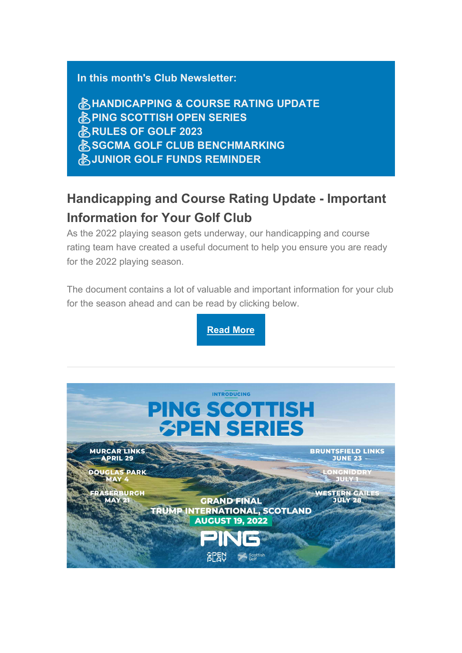#### **In this month's Club Newsletter:**

⛳**HANDICAPPING & COURSE RATING UPDATE ENDING SCOTTISH OPEN SERIES** ⛳**RULES OF GOLF 2023** *<b>ASSGCMA GOLF CLUB BENCHMARKING* ⛳**JUNIOR GOLF FUNDS REMINDER**

# **Handicapping and Course Rating Update - Important Information for Your Golf Club**

As the 2022 playing season gets underway, our handicapping and course rating team have created a useful document to help you ensure you are ready for the 2022 playing season.

The document contains a lot of valuable and important information for your club for the season ahead and can be read by clicking below.

**[Read More](https://scottishgolf.us4.list-manage.com/track/click?u=9c32e12ea21cc19e8cd8c1f75&id=0bca89f1f4&e=196ecfd959)**

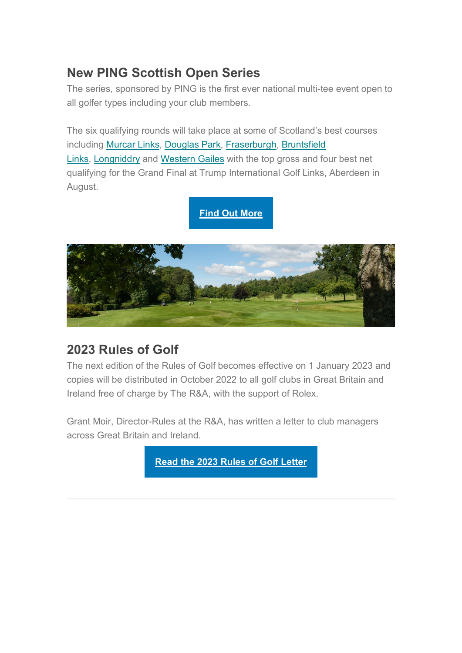## **New PING Scottish Open Series**

The series, sponsored by PING is the first ever national multi-tee event open to all golfer types including your club members.

The six qualifying rounds will take place at some of Scotland's best courses including [Murcar Links,](https://scottishgolf.us4.list-manage.com/track/click?u=9c32e12ea21cc19e8cd8c1f75&id=a0f8ef3784&e=196ecfd959) [Douglas Park,](https://scottishgolf.us4.list-manage.com/track/click?u=9c32e12ea21cc19e8cd8c1f75&id=51f4b9d24d&e=196ecfd959) [Fraserburgh,](https://scottishgolf.us4.list-manage.com/track/click?u=9c32e12ea21cc19e8cd8c1f75&id=f5d62e4490&e=196ecfd959) [Bruntsfield](https://scottishgolf.us4.list-manage.com/track/click?u=9c32e12ea21cc19e8cd8c1f75&id=13f2d2664f&e=196ecfd959)  [Links,](https://scottishgolf.us4.list-manage.com/track/click?u=9c32e12ea21cc19e8cd8c1f75&id=13f2d2664f&e=196ecfd959) [Longniddry](https://scottishgolf.us4.list-manage.com/track/click?u=9c32e12ea21cc19e8cd8c1f75&id=ebf403fea2&e=196ecfd959) and [Western Gailes](https://scottishgolf.us4.list-manage.com/track/click?u=9c32e12ea21cc19e8cd8c1f75&id=59e1cd8a46&e=196ecfd959) with the top gross and four best net qualifying for the Grand Final at Trump International Golf Links, Aberdeen in August.

### **[Find Out More](https://scottishgolf.us4.list-manage.com/track/click?u=9c32e12ea21cc19e8cd8c1f75&id=4461fdad71&e=196ecfd959)**



## **2023 Rules of Golf**

The next edition of the Rules of Golf becomes effective on 1 January 2023 and copies will be distributed in October 2022 to all golf clubs in Great Britain and Ireland free of charge by The R&A, with the support of Rolex.

Grant Moir, Director-Rules at the R&A, has written a letter to club managers across Great Britain and Ireland.

**[Read the 2023 Rules of Golf Letter](https://scottishgolf.us4.list-manage.com/track/click?u=9c32e12ea21cc19e8cd8c1f75&id=675a47a817&e=196ecfd959)**